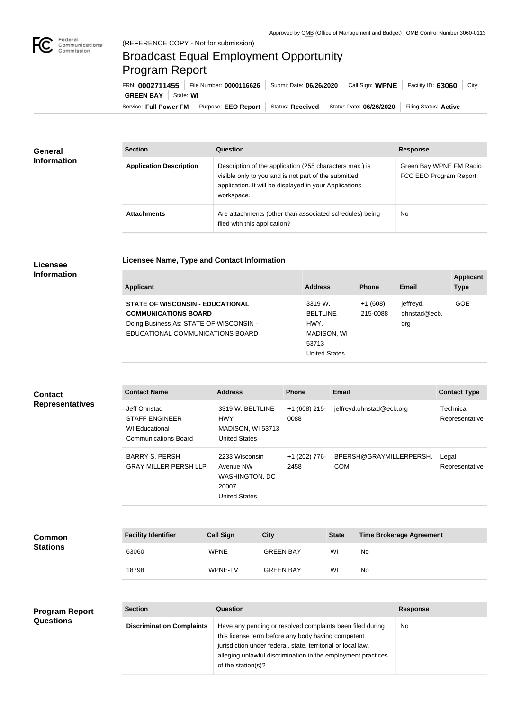**Applicant Type**

## Broadcast Equal Employment Opportunity Program Report

Service: Full Power FM Purpose: EEO Report | Status: Received | Status Date: 06/26/2020 | Filing Status: Active **GREEN BAY** | State: WI FRN: **0002711455** File Number: **0000116626** Submit Date: **06/26/2020** Call Sign: **WPNE** Facility ID: **63060** City:

| <b>General</b><br><b>Information</b> | <b>Section</b>                 | <b>Question</b>                                                                                                                                                                         | <b>Response</b>                                   |
|--------------------------------------|--------------------------------|-----------------------------------------------------------------------------------------------------------------------------------------------------------------------------------------|---------------------------------------------------|
|                                      | <b>Application Description</b> | Description of the application (255 characters max.) is<br>visible only to you and is not part of the submitted<br>application. It will be displayed in your Applications<br>workspace. | Green Bay WPNE FM Radio<br>FCC EEO Program Report |
|                                      | <b>Attachments</b>             | Are attachments (other than associated schedules) being<br>filed with this application?                                                                                                 | <b>No</b>                                         |

## **Licensee Information**

| Applicant                               | <b>Address</b> | <b>Phone</b>                                     | Email  |  |
|-----------------------------------------|----------------|--------------------------------------------------|--------|--|
| <b>STATE OF WISCONSIN - EDUCATIONAL</b> | 3319 W.        | $+1(608)$                                        | jeffre |  |
| COMMUNICATIONS DOADD                    | DEL TI INE     | $\Omega_{\text{A}}$ $\Gamma$ $\Omega_{\text{A}}$ | مصطم   |  |

**Licensee Name, Type and Contact Information**

| <b>STATE OF WISCONSIN - EDUCATIONAL</b> | 3319 W.         | $+1(608)$ | jeffrevd.    | GOE |
|-----------------------------------------|-----------------|-----------|--------------|-----|
| <b>COMMUNICATIONS BOARD</b>             | <b>BELTLINE</b> | 215-0088  | ohnstad@ecb. |     |
| Doing Business As: STATE OF WISCONSIN - | HWY.            |           | org          |     |
| EDUCATIONAL COMMUNICATIONS BOARD        | MADISON, WI     |           |              |     |
|                                         | 53713           |           |              |     |
|                                         | United States   |           |              |     |
|                                         |                 |           |              |     |

| <b>Contact</b><br><b>Representatives</b> | <b>Contact Name</b>                                                                           | <b>Address</b>                                                                                                                                                                                                                                  |                  | <b>Phone</b>            | <b>Email</b> |                          |                                 | <b>Contact Type</b>         |
|------------------------------------------|-----------------------------------------------------------------------------------------------|-------------------------------------------------------------------------------------------------------------------------------------------------------------------------------------------------------------------------------------------------|------------------|-------------------------|--------------|--------------------------|---------------------------------|-----------------------------|
|                                          | Jeff Ohnstad<br><b>STAFF ENGINEER</b><br><b>WI Educational</b><br><b>Communications Board</b> | 3319 W. BELTLINE<br><b>HWY</b><br>MADISON, WI 53713<br><b>United States</b>                                                                                                                                                                     |                  | $+1$ (608) 215-<br>0088 |              | jeffreyd.ohnstad@ecb.org |                                 | Technical<br>Representative |
|                                          | <b>BARRY S. PERSH</b><br><b>GRAY MILLER PERSH LLP</b>                                         | 2233 Wisconsin<br>Avenue NW<br><b>WASHINGTON, DC</b><br>20007<br><b>United States</b>                                                                                                                                                           |                  | +1 (202) 776-<br>2458   | <b>COM</b>   | BPERSH@GRAYMILLERPERSH.  |                                 | Legal<br>Representative     |
|                                          |                                                                                               |                                                                                                                                                                                                                                                 |                  |                         |              |                          |                                 |                             |
| <b>Common</b><br><b>Stations</b>         | <b>Facility Identifier</b>                                                                    | <b>Call Sign</b>                                                                                                                                                                                                                                | <b>City</b>      |                         | <b>State</b> |                          | <b>Time Brokerage Agreement</b> |                             |
|                                          | 63060                                                                                         | <b>WPNE</b>                                                                                                                                                                                                                                     | <b>GREEN BAY</b> |                         | WI           | <b>No</b>                |                                 |                             |
|                                          | 18798                                                                                         | WPNE-TV                                                                                                                                                                                                                                         | <b>GREEN BAY</b> |                         | WI           | No                       |                                 |                             |
|                                          |                                                                                               |                                                                                                                                                                                                                                                 |                  |                         |              |                          |                                 |                             |
| <b>Program Report</b><br>Questions       | <b>Section</b>                                                                                | Question                                                                                                                                                                                                                                        |                  |                         |              |                          | <b>Response</b>                 |                             |
|                                          | <b>Discrimination Complaints</b>                                                              | Have any pending or resolved complaints been filed during<br>this license term before any body having competent<br>jurisdiction under federal, state, territorial or local law,<br>alleging unlawful discrimination in the employment practices |                  |                         |              | No                       |                                 |                             |

of the station(s)?